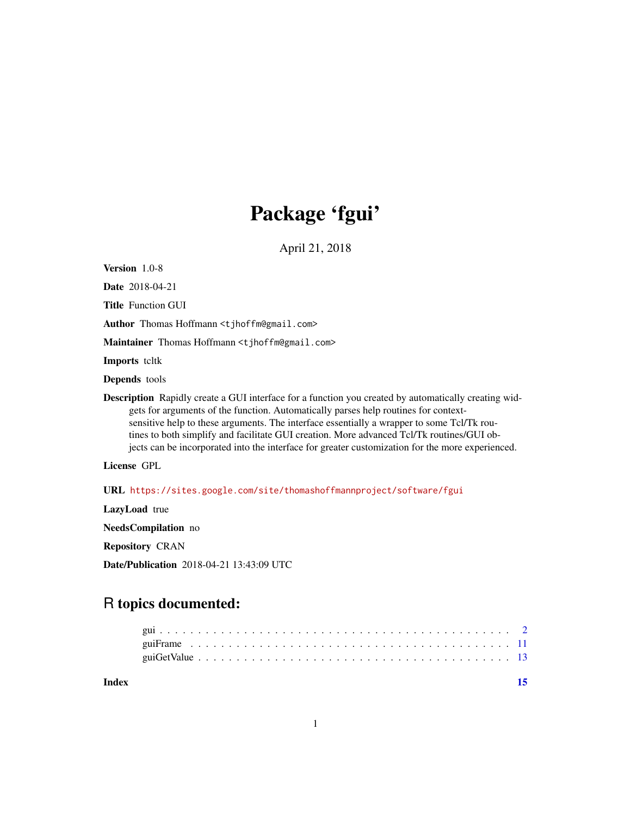## Package 'fgui'

April 21, 2018

Version 1.0-8

Date 2018-04-21

Title Function GUI

Author Thomas Hoffmann <tjhoffm@gmail.com>

Maintainer Thomas Hoffmann <t jhoffm@gmail.com>

Imports teltk

Depends tools

Description Rapidly create a GUI interface for a function you created by automatically creating widgets for arguments of the function. Automatically parses help routines for contextsensitive help to these arguments. The interface essentially a wrapper to some Tcl/Tk routines to both simplify and facilitate GUI creation. More advanced Tcl/Tk routines/GUI objects can be incorporated into the interface for greater customization for the more experienced.

License GPL

URL <https://sites.google.com/site/thomashoffmannproject/software/fgui>

LazyLoad true

NeedsCompilation no

Repository CRAN

Date/Publication 2018-04-21 13:43:09 UTC

### R topics documented:

| Index |  |  |  |  |  |  |  |  |  |  |  |  |  |  |  |  |  | 15 |
|-------|--|--|--|--|--|--|--|--|--|--|--|--|--|--|--|--|--|----|
|       |  |  |  |  |  |  |  |  |  |  |  |  |  |  |  |  |  |    |
|       |  |  |  |  |  |  |  |  |  |  |  |  |  |  |  |  |  |    |
|       |  |  |  |  |  |  |  |  |  |  |  |  |  |  |  |  |  |    |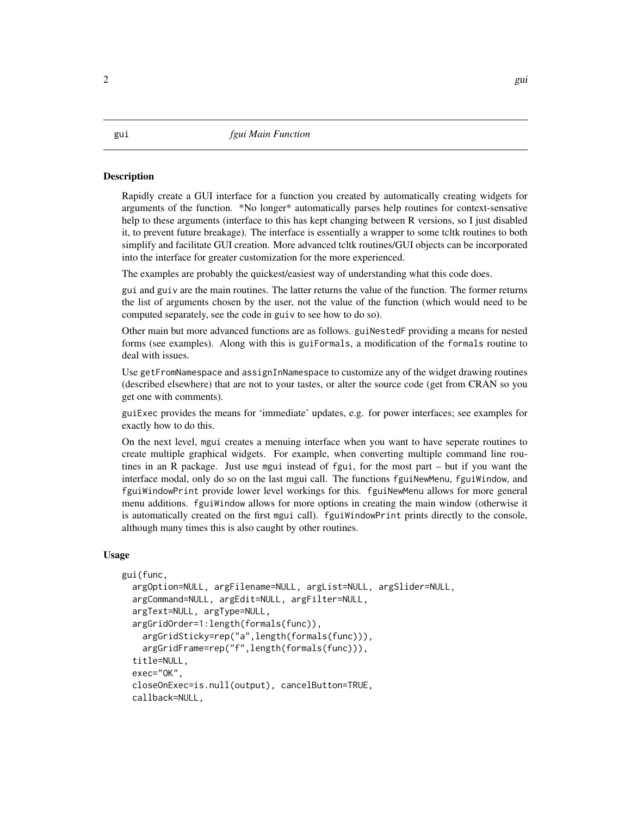#### <span id="page-1-0"></span>**Description**

Rapidly create a GUI interface for a function you created by automatically creating widgets for arguments of the function. \*No longer\* automatically parses help routines for context-sensative help to these arguments (interface to this has kept changing between R versions, so I just disabled it, to prevent future breakage). The interface is essentially a wrapper to some tcltk routines to both simplify and facilitate GUI creation. More advanced tcltk routines/GUI objects can be incorporated into the interface for greater customization for the more experienced.

The examples are probably the quickest/easiest way of understanding what this code does.

gui and guiv are the main routines. The latter returns the value of the function. The former returns the list of arguments chosen by the user, not the value of the function (which would need to be computed separately, see the code in guiv to see how to do so).

Other main but more advanced functions are as follows. guiNestedF providing a means for nested forms (see examples). Along with this is guiFormals, a modification of the formals routine to deal with issues.

Use getFromNamespace and assignInNamespace to customize any of the widget drawing routines (described elsewhere) that are not to your tastes, or alter the source code (get from CRAN so you get one with comments).

guiExec provides the means for 'immediate' updates, e.g. for power interfaces; see examples for exactly how to do this.

On the next level, mgui creates a menuing interface when you want to have seperate routines to create multiple graphical widgets. For example, when converting multiple command line routines in an R package. Just use mgui instead of fgui, for the most part – but if you want the interface modal, only do so on the last mgui call. The functions fguiNewMenu, fguiWindow, and fguiWindowPrint provide lower level workings for this. fguiNewMenu allows for more general menu additions. fguiWindow allows for more options in creating the main window (otherwise it is automatically created on the first mgui call). fguiWindowPrint prints directly to the console, although many times this is also caught by other routines.

#### Usage

```
gui(func,
  argOption=NULL, argFilename=NULL, argList=NULL, argSlider=NULL,
  argCommand=NULL, argEdit=NULL, argFilter=NULL,
  argText=NULL, argType=NULL,
  argGridOrder=1:length(formals(func)),
    argGridSticky=rep("a",length(formals(func))),
    argGridFrame=rep("f",length(formals(func))),
  title=NULL,
  exec="OK",
  closeOnExec=is.null(output), cancelButton=TRUE,
  callback=NULL,
```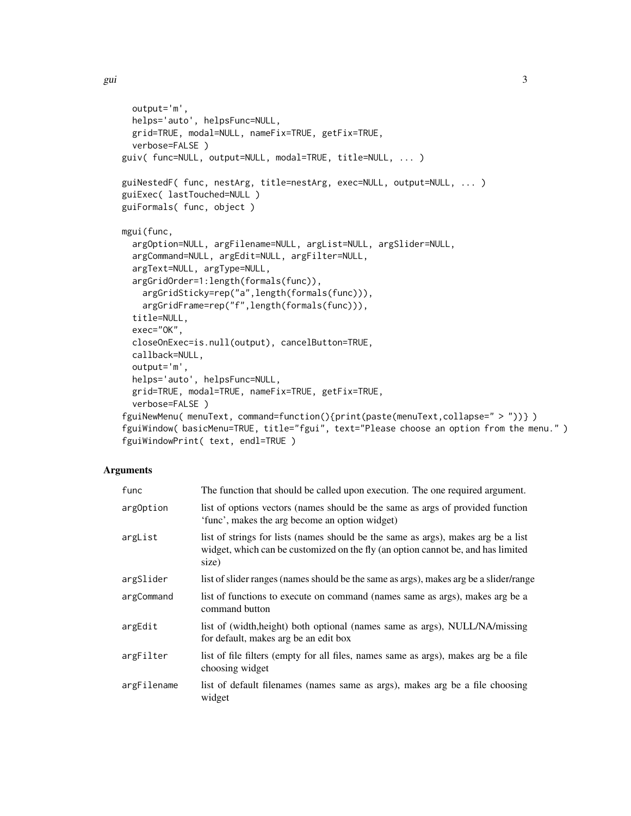```
output='m',
 helps='auto', helpsFunc=NULL,
 grid=TRUE, modal=NULL, nameFix=TRUE, getFix=TRUE,
 verbose=FALSE )
guiv( func=NULL, output=NULL, modal=TRUE, title=NULL, ... )
guiNestedF( func, nestArg, title=nestArg, exec=NULL, output=NULL, ... )
guiExec( lastTouched=NULL )
guiFormals( func, object )
mgui(func,
  argOption=NULL, argFilename=NULL, argList=NULL, argSlider=NULL,
  argCommand=NULL, argEdit=NULL, argFilter=NULL,
  argText=NULL, argType=NULL,
 argGridOrder=1:length(formals(func)),
   argGridSticky=rep("a",length(formals(func))),
    argGridFrame=rep("f",length(formals(func))),
  title=NULL,
 exec="OK",
 closeOnExec=is.null(output), cancelButton=TRUE,
 callback=NULL,
 output='m',
 helps='auto', helpsFunc=NULL,
 grid=TRUE, modal=TRUE, nameFix=TRUE, getFix=TRUE,
  verbose=FALSE )
fguiNewMenu( menuText, command=function(){print(paste(menuText,collapse=" > "))} )
fguiWindow( basicMenu=TRUE, title="fgui", text="Please choose an option from the menu.")
fguiWindowPrint( text, endl=TRUE )
```
#### Arguments

| func        | The function that should be called upon execution. The one required argument.                                                                                                  |
|-------------|--------------------------------------------------------------------------------------------------------------------------------------------------------------------------------|
| argOption   | list of options vectors (names should be the same as args of provided function<br>'func', makes the arg become an option widget)                                               |
| argList     | list of strings for lists (names should be the same as args), makes arg be a list<br>widget, which can be customized on the fly (an option cannot be, and has limited<br>size) |
| argSlider   | list of slider ranges (names should be the same as args), makes arg be a slider/range                                                                                          |
| argCommand  | list of functions to execute on command (names same as args), makes arg be a<br>command button                                                                                 |
| argEdit     | list of (width, height) both optional (names same as args), NULL/NA/missing<br>for default, makes arg be an edit box                                                           |
| argFilter   | list of file filters (empty for all files, names same as args), makes arg be a file<br>choosing widget                                                                         |
| argFilename | list of default filenames (names same as args), makes arg be a file choosing<br>widget                                                                                         |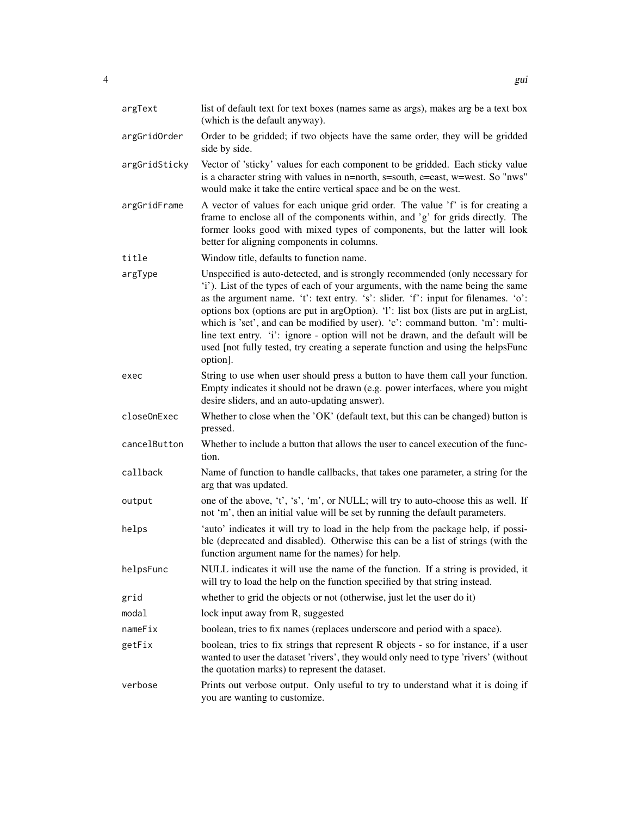| argText       | list of default text for text boxes (names same as args), makes arg be a text box<br>(which is the default anyway).                                                                                                                                                                                                                                                                                                                                                                                                                                                                                                  |
|---------------|----------------------------------------------------------------------------------------------------------------------------------------------------------------------------------------------------------------------------------------------------------------------------------------------------------------------------------------------------------------------------------------------------------------------------------------------------------------------------------------------------------------------------------------------------------------------------------------------------------------------|
| argGridOrder  | Order to be gridded; if two objects have the same order, they will be gridded<br>side by side.                                                                                                                                                                                                                                                                                                                                                                                                                                                                                                                       |
| argGridSticky | Vector of 'sticky' values for each component to be gridded. Each sticky value<br>is a character string with values in n=north, s=south, e=east, w=west. So "nws"<br>would make it take the entire vertical space and be on the west.                                                                                                                                                                                                                                                                                                                                                                                 |
| argGridFrame  | A vector of values for each unique grid order. The value 'f' is for creating a<br>frame to enclose all of the components within, and 'g' for grids directly. The<br>former looks good with mixed types of components, but the latter will look<br>better for aligning components in columns.                                                                                                                                                                                                                                                                                                                         |
| title         | Window title, defaults to function name.                                                                                                                                                                                                                                                                                                                                                                                                                                                                                                                                                                             |
| argType       | Unspecified is auto-detected, and is strongly recommended (only necessary for<br>'i'). List of the types of each of your arguments, with the name being the same<br>as the argument name. 't': text entry. 's': slider. 'f': input for filenames. 'o':<br>options box (options are put in argOption). '1': list box (lists are put in argList,<br>which is 'set', and can be modified by user). 'c': command button. 'm': multi-<br>line text entry. 'i': ignore - option will not be drawn, and the default will be<br>used [not fully tested, try creating a seperate function and using the helpsFunc<br>option]. |
| exec          | String to use when user should press a button to have them call your function.<br>Empty indicates it should not be drawn (e.g. power interfaces, where you might<br>desire sliders, and an auto-updating answer).                                                                                                                                                                                                                                                                                                                                                                                                    |
| closeOnExec   | Whether to close when the 'OK' (default text, but this can be changed) button is<br>pressed.                                                                                                                                                                                                                                                                                                                                                                                                                                                                                                                         |
| cancelButton  | Whether to include a button that allows the user to cancel execution of the func-<br>tion.                                                                                                                                                                                                                                                                                                                                                                                                                                                                                                                           |
| callback      | Name of function to handle callbacks, that takes one parameter, a string for the<br>arg that was updated.                                                                                                                                                                                                                                                                                                                                                                                                                                                                                                            |
| output        | one of the above, 't', 's', 'm', or NULL; will try to auto-choose this as well. If<br>not 'm', then an initial value will be set by running the default parameters.                                                                                                                                                                                                                                                                                                                                                                                                                                                  |
| helps         | 'auto' indicates it will try to load in the help from the package help, if possi-<br>ble (deprecated and disabled). Otherwise this can be a list of strings (with the<br>function argument name for the names) for help.                                                                                                                                                                                                                                                                                                                                                                                             |
| helpsFunc     | NULL indicates it will use the name of the function. If a string is provided, it<br>will try to load the help on the function specified by that string instead.                                                                                                                                                                                                                                                                                                                                                                                                                                                      |
| grid          | whether to grid the objects or not (otherwise, just let the user do it)                                                                                                                                                                                                                                                                                                                                                                                                                                                                                                                                              |
| modal         | lock input away from R, suggested                                                                                                                                                                                                                                                                                                                                                                                                                                                                                                                                                                                    |
| nameFix       | boolean, tries to fix names (replaces underscore and period with a space).                                                                                                                                                                                                                                                                                                                                                                                                                                                                                                                                           |
| getFix        | boolean, tries to fix strings that represent R objects - so for instance, if a user<br>wanted to user the dataset 'rivers', they would only need to type 'rivers' (without<br>the quotation marks) to represent the dataset.                                                                                                                                                                                                                                                                                                                                                                                         |
| verbose       | Prints out verbose output. Only useful to try to understand what it is doing if<br>you are wanting to customize.                                                                                                                                                                                                                                                                                                                                                                                                                                                                                                     |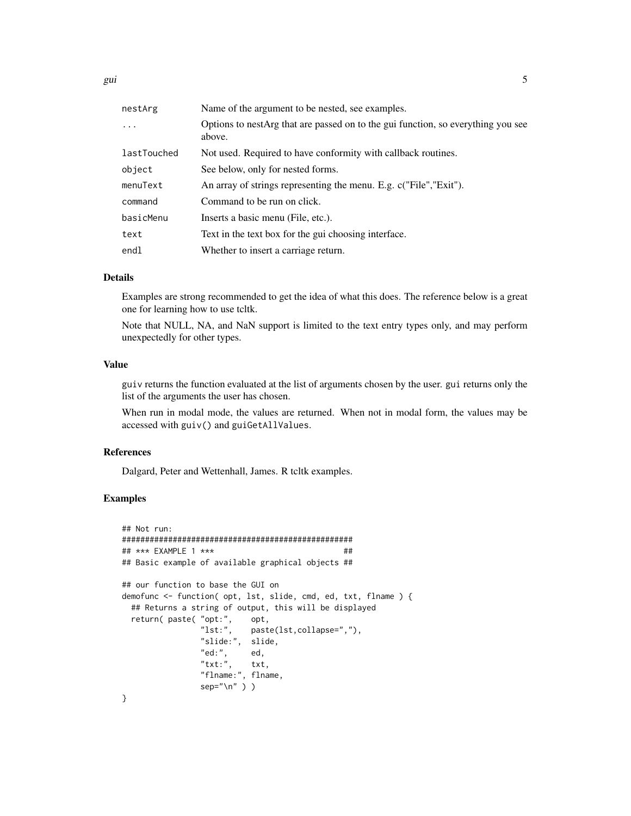| Name of the argument to be nested, see examples.                                           |
|--------------------------------------------------------------------------------------------|
| Options to nestArg that are passed on to the gui function, so everything you see<br>above. |
| Not used. Required to have conformity with callback routines.                              |
| See below, only for nested forms.                                                          |
| An array of strings representing the menu. E.g. c("File","Exit").                          |
| Command to be run on click.                                                                |
| Inserts a basic menu (File, etc.).                                                         |
| Text in the text box for the gui choosing interface.                                       |
| Whether to insert a carriage return.                                                       |
|                                                                                            |

#### Details

Examples are strong recommended to get the idea of what this does. The reference below is a great one for learning how to use tcltk.

Note that NULL, NA, and NaN support is limited to the text entry types only, and may perform unexpectedly for other types.

#### Value

guiv returns the function evaluated at the list of arguments chosen by the user. gui returns only the list of the arguments the user has chosen.

When run in modal mode, the values are returned. When not in modal form, the values may be accessed with guiv() and guiGetAllValues.

#### References

Dalgard, Peter and Wettenhall, James. R tcltk examples.

#### Examples

```
## Not run:
##################################################
## *** EXAMPLE 1 *** ##
## Basic example of available graphical objects ##
## our function to base the GUI on
demofunc <- function( opt, lst, slide, cmd, ed, txt, flname ) {
 ## Returns a string of output, this will be displayed
 return( paste( "opt:", opt,<br>"1st:", past
                           paste(lst,collapse=","),
                "slide:", slide,
                "ed:", ed,
                "txt:", txt,
                "flname:", flname,
                sep="\n"<sup>"</sup> ) )
}
```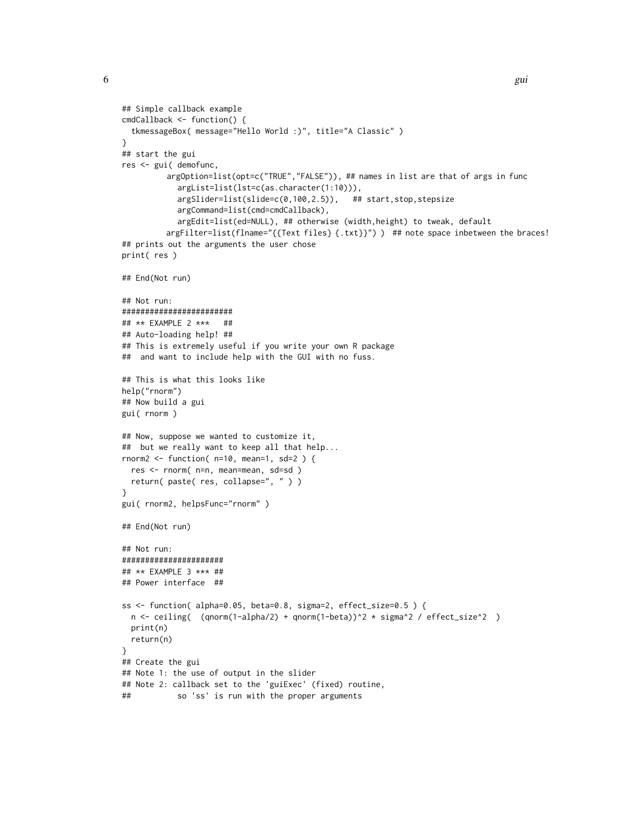```
## Simple callback example
cmdCallback <- function() {
  tkmessageBox( message="Hello World :)", title="A Classic" )
}
## start the gui
res <- gui( demofunc,
         argOption=list(opt=c("TRUE","FALSE")), ## names in list are that of args in func
            argList=list(lst=c(as.character(1:10))),
            argSlider=list(slide=c(0,100,2.5)), ## start,stop,stepsize
            argCommand=list(cmd=cmdCallback),
            argEdit=list(ed=NULL), ## otherwise (width,height) to tweak, default
         argFilter=list(flname="{{Text files} {.txt}}") ) ## note space inbetween the braces!
## prints out the arguments the user chose
print( res )
## End(Not run)
## Not run:
########################
## ** EXAMPLE 2 *** ##
## Auto-loading help! ##
## This is extremely useful if you write your own R package
## and want to include help with the GUI with no fuss.
## This is what this looks like
help("rnorm")
## Now build a gui
gui( rnorm )
## Now, suppose we wanted to customize it,
## but we really want to keep all that help...
rnorm2 \le function( n=10, mean=1, sd=2 ) {
 res <- rnorm( n=n, mean=mean, sd=sd )
  return( paste( res, collapse=", " ) )
}
gui( rnorm2, helpsFunc="rnorm" )
## End(Not run)
## Not run:
######################
## ** EXAMPLE 3 *** ##
## Power interface ##
ss <- function( alpha=0.05, beta=0.8, sigma=2, effect_size=0.5 ) {
  n \leftarrow ceiling( (qnorm(1-alpha/2) + qnorm(1-beta))^2 * sigma^2 / effect_size^2 )
  print(n)
  return(n)
}
## Create the gui
## Note 1: the use of output in the slider
## Note 2: callback set to the 'guiExec' (fixed) routine,
## so 'ss' is run with the proper arguments
```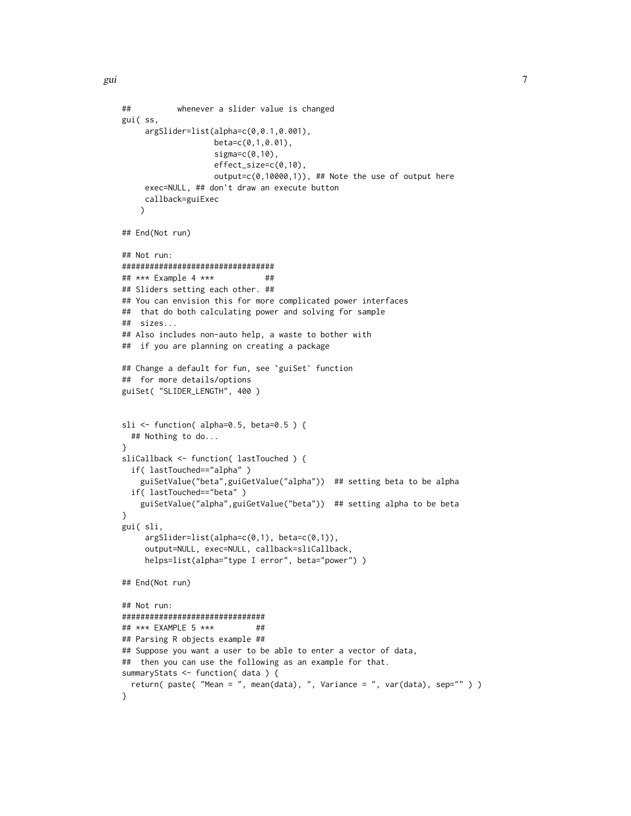```
## whenever a slider value is changed
gui( ss,
     argSlider=list(alpha=c(0,0.1,0.001),
                   beta=c(0,1,0.01),
                    sigma=c(0,10),
                    effect_size=c(0,10),
                   output=c(0,10000,1)), ## Note the use of output here
     exec=NULL, ## don't draw an execute button
     callback=guiExec
   \lambda## End(Not run)
## Not run:
#################################
## *** Example 4 *** ##
## Sliders setting each other. ##
## You can envision this for more complicated power interfaces
## that do both calculating power and solving for sample
## sizes...
## Also includes non-auto help, a waste to bother with
## if you are planning on creating a package
## Change a default for fun, see `guiSet' function
## for more details/options
guiSet( "SLIDER_LENGTH", 400 )
sli <- function( alpha=0.5, beta=0.5 ) {
 ## Nothing to do...
}
sliCallback <- function( lastTouched ) {
 if( lastTouched=="alpha" )
    guiSetValue("beta",guiGetValue("alpha")) ## setting beta to be alpha
 if( lastTouched=="beta" )
    guiSetValue("alpha",guiGetValue("beta")) ## setting alpha to be beta
}
gui( sli,
     argSlider=list(alpha=c(0,1), beta=c(0,1)),
     output=NULL, exec=NULL, callback=sliCallback,
     helps=list(alpha="type I error", beta="power") )
## End(Not run)
## Not run:
###############################
## *** EXAMPLE 5 *** ##
## Parsing R objects example ##
## Suppose you want a user to be able to enter a vector of data,
## then you can use the following as an example for that.
summaryStats <- function( data ) {
 return( paste( "Mean = ", mean(data), ", Variance = ", var(data), sep="" ) )
}
```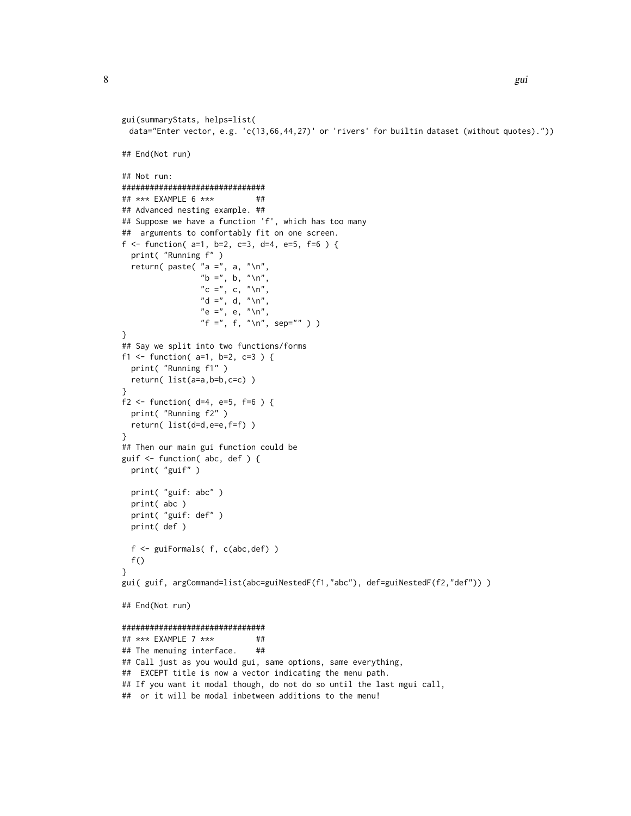```
gui(summaryStats, helps=list(
 data="Enter vector, e.g. 'c(13,66,44,27)' or 'rivers' for builtin dataset (without quotes)."))
## End(Not run)
## Not run:
###############################
## *** EXAMPLE 6 *** ##
## Advanced nesting example. ##
## Suppose we have a function 'f', which has too many
## arguments to comfortably fit on one screen.
f <- function(a=1, b=2, c=3, d=4, e=5, f=6) {
 print( "Running f" )
 return( paste( "a =", a, "\n",
                 "b =", b, "\nu",
                C =", c, "\ln",
                "d =", d, "\ln",
                "e =", e, "\ln",
                "f =", f, "\n", sep="" ) )
}
## Say we split into two functions/forms
f1 <- function(a=1, b=2, c=3) {
 print( "Running f1" )
 return( list(a=a,b=b,c=c) )
}
f2 \le f function( d=4, e=5, f=6 ) {
 print( "Running f2" )
 return( list(d=d,e=e,f=f) )
}
## Then our main gui function could be
guif <- function( abc, def ) {
 print( "guif" )
 print( "guif: abc" )
 print( abc )
 print( "guif: def" )
 print( def )
 f <- guiFormals( f, c(abc,def) )
 f()}
gui( guif, argCommand=list(abc=guiNestedF(f1,"abc"), def=guiNestedF(f2,"def")))
## End(Not run)
###############################
## *** EXAMPLE 7 *** ##
## The menuing interface. ##
## Call just as you would gui, same options, same everything,
## EXCEPT title is now a vector indicating the menu path.
## If you want it modal though, do not do so until the last mgui call,
## or it will be modal inbetween additions to the menu!
```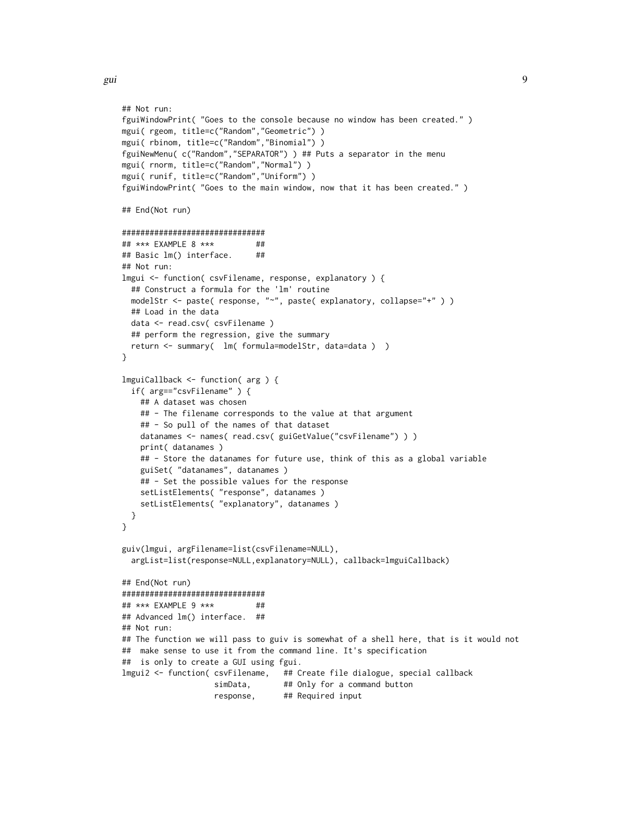gui d'Alexandre de la component de la component de la component de la component de la component de la componen

```
## Not run:
fguiWindowPrint( "Goes to the console because no window has been created." )
mgui( rgeom, title=c("Random","Geometric") )
mgui( rbinom, title=c("Random","Binomial") )
fguiNewMenu( c("Random","SEPARATOR") ) ## Puts a separator in the menu
mgui( rnorm, title=c("Random","Normal") )
mgui( runif, title=c("Random","Uniform") )
fguiWindowPrint( "Goes to the main window, now that it has been created." )
## End(Not run)
###############################
## *** EXAMPLE 8 *** ##
## Basic lm() interface. ##
## Not run:
lmgui <- function( csvFilename, response, explanatory ) {
 ## Construct a formula for the 'lm' routine
 modelStr <- paste( response, "~", paste( explanatory, collapse="+" ) )
 ## Load in the data
 data <- read.csv( csvFilename )
 ## perform the regression, give the summary
 return <- summary( lm( formula=modelStr, data=data ) )
}
lmguiCallback <- function( arg ) {
 if( arg=="csvFilename" ) {
   ## A dataset was chosen
   ## - The filename corresponds to the value at that argument
   ## - So pull of the names of that dataset
   datanames <- names( read.csv( guiGetValue("csvFilename") ) )
   print( datanames )
   ## - Store the datanames for future use, think of this as a global variable
   guiSet( "datanames", datanames )
   ## - Set the possible values for the response
   setListElements( "response", datanames )
   setListElements( "explanatory", datanames )
 }
}
guiv(lmgui, argFilename=list(csvFilename=NULL),
 argList=list(response=NULL,explanatory=NULL), callback=lmguiCallback)
## End(Not run)
###############################
## *** EXAMPLE 9 *** ##
## Advanced lm() interface. ##
## Not run:
## The function we will pass to guiv is somewhat of a shell here, that is it would not
## make sense to use it from the command line. It's specification
## is only to create a GUI using fgui.
lmgui2 <- function( csvFilename, ## Create file dialogue, special callback
                   simData, ## Only for a command button
                   response, ## Required input
```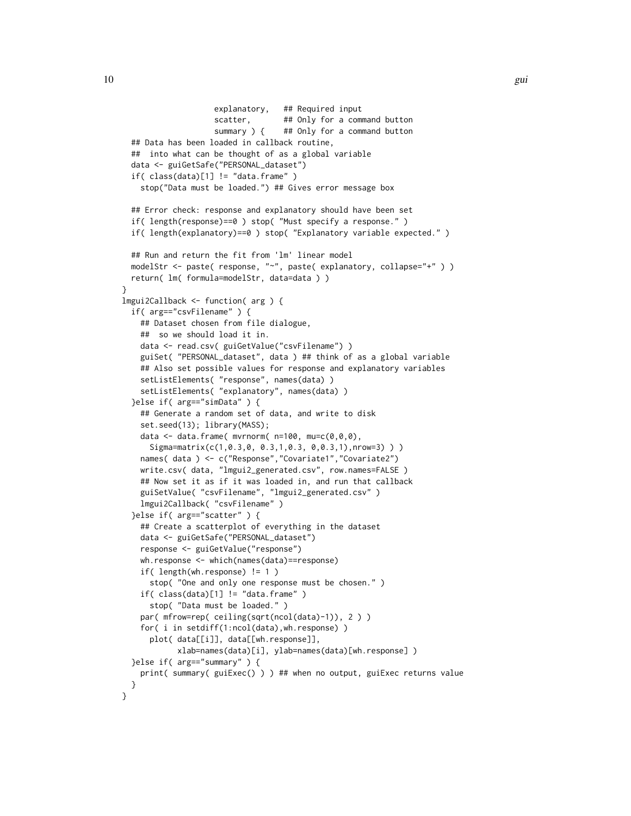```
explanatory, ## Required input
                    scatter, ## Only for a command button
                    summary ) { ## Only for a command button
 ## Data has been loaded in callback routine,
 ## into what can be thought of as a global variable
 data <- guiGetSafe("PERSONAL_dataset")
  if(class(data)[1] != "data-frame" )stop("Data must be loaded.") ## Gives error message box
 ## Error check: response and explanatory should have been set
 if( length(response)==0 ) stop( "Must specify a response." )
 if( length(explanatory)==0 ) stop( "Explanatory variable expected." )
  ## Run and return the fit from 'lm' linear model
 modelStr <- paste( response, "~", paste( explanatory, collapse="+" ) )
 return( lm( formula=modelStr, data=data ) )
}
lmgui2Callback <- function( arg ) {
 if( arg=="csvFilename" ) {
    ## Dataset chosen from file dialogue,
    ## so we should load it in.
    data <- read.csv( guiGetValue("csvFilename") )
    guiSet( "PERSONAL_dataset", data ) ## think of as a global variable
    ## Also set possible values for response and explanatory variables
    setListElements( "response", names(data) )
    setListElements( "explanatory", names(data) )
  }else if( arg=="simData" ) {
    ## Generate a random set of data, and write to disk
    set.seed(13); library(MASS);
    data \leq data.frame( mvrnorm( n=100, mu=c(0,0,0),
     Sigma=matrix(c(1,0.3,0, 0.3,1,0.3, 0,0.3,1),nrow=3) ) )
    names( data ) <- c("Response","Covariate1","Covariate2")
    write.csv( data, "lmgui2_generated.csv", row.names=FALSE )
    ## Now set it as if it was loaded in, and run that callback
    guiSetValue( "csvFilename", "lmgui2_generated.csv" )
    lmgui2Callback( "csvFilename" )
  }else if( arg=="scatter" ) {
    ## Create a scatterplot of everything in the dataset
    data <- guiGetSafe("PERSONAL_dataset")
    response <- guiGetValue("response")
    wh.response <- which(names(data)==response)
    if( length(wh.response) != 1 )
     stop( "One and only one response must be chosen." )
    if( class(data)[1] != "data.frame" )
     stop( "Data must be loaded." )
    par( mfrow=rep( ceiling(sqrt(ncol(data)-1)), 2 ) )
    for( i in setdiff(1:ncol(data), wh. response) )
     plot( data[[i]], data[[wh.response]],
           xlab=names(data)[i], ylab=names(data)[wh.response] )
 }else if( arg=="summary" ) {
    print( summary( guiExec() ) ) ## when no output, guiExec returns value
 }
}
```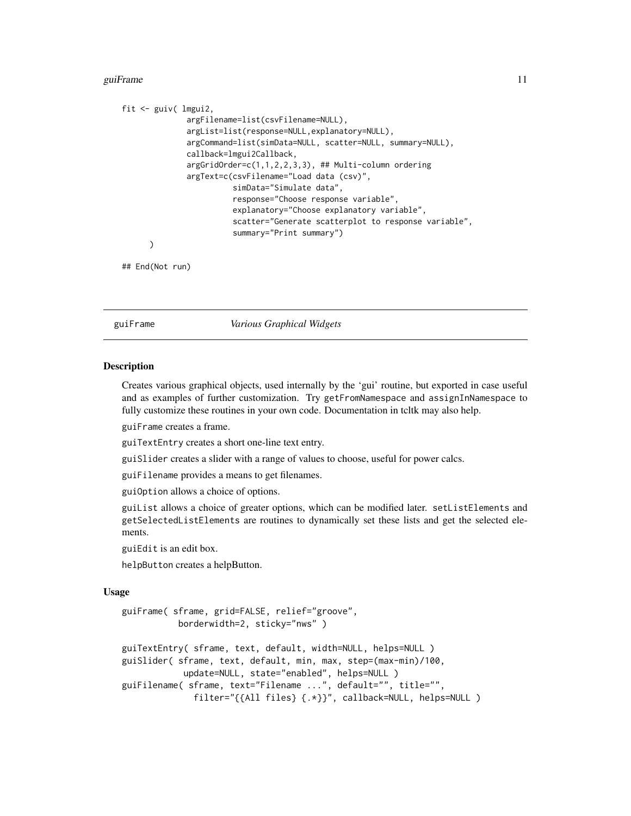#### <span id="page-10-0"></span>guiFrame **11**

```
fit <- guiv( lmgui2,
              argFilename=list(csvFilename=NULL),
              argList=list(response=NULL,explanatory=NULL),
              argCommand=list(simData=NULL, scatter=NULL, summary=NULL),
              callback=lmgui2Callback,
              argGridOrder=c(1,1,2,2,3,3), ## Multi-column ordering
              argText=c(csvFilename="Load data (csv)",
                        simData="Simulate data",
                        response="Choose response variable",
                        explanatory="Choose explanatory variable",
                        scatter="Generate scatterplot to response variable",
                        summary="Print summary")
      )
```
## End(Not run)

guiFrame *Various Graphical Widgets*

#### Description

Creates various graphical objects, used internally by the 'gui' routine, but exported in case useful and as examples of further customization. Try getFromNamespace and assignInNamespace to fully customize these routines in your own code. Documentation in tcltk may also help.

guiFrame creates a frame.

guiTextEntry creates a short one-line text entry.

guiSlider creates a slider with a range of values to choose, useful for power calcs.

guiFilename provides a means to get filenames.

guiOption allows a choice of options.

guiList allows a choice of greater options, which can be modified later. setListElements and getSelectedListElements are routines to dynamically set these lists and get the selected elements.

guiEdit is an edit box.

helpButton creates a helpButton.

#### Usage

```
guiFrame( sframe, grid=FALSE, relief="groove",
          borderwidth=2, sticky="nws" )
guiTextEntry( sframe, text, default, width=NULL, helps=NULL )
guiSlider( sframe, text, default, min, max, step=(max-min)/100,
            update=NULL, state="enabled", helps=NULL )
guiFilename( sframe, text="Filename ...", default="", title="",
              filter="{{All files} {.*}}", callback=NULL, helps=NULL )
```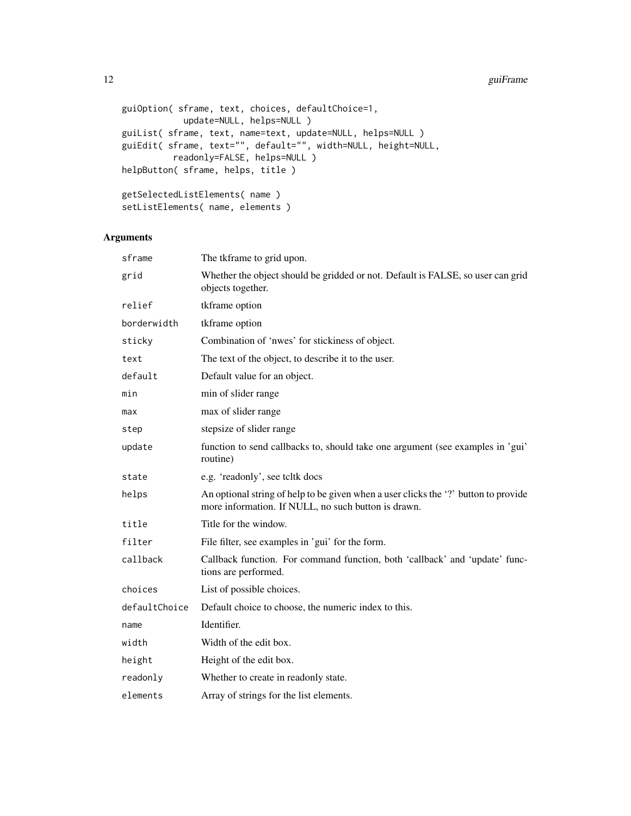```
guiOption( sframe, text, choices, defaultChoice=1,
           update=NULL, helps=NULL )
guiList( sframe, text, name=text, update=NULL, helps=NULL )
guiEdit( sframe, text="", default="", width=NULL, height=NULL,
         readonly=FALSE, helps=NULL )
helpButton( sframe, helps, title )
getSelectedListElements( name )
setListElements( name, elements )
```
### Arguments

| sframe        | The tkframe to grid upon.                                                                                                                  |
|---------------|--------------------------------------------------------------------------------------------------------------------------------------------|
| grid          | Whether the object should be gridded or not. Default is FALSE, so user can grid<br>objects together.                                       |
| relief        | tkframe option                                                                                                                             |
| borderwidth   | tkframe option                                                                                                                             |
| sticky        | Combination of 'nwes' for stickiness of object.                                                                                            |
| text          | The text of the object, to describe it to the user.                                                                                        |
| default       | Default value for an object.                                                                                                               |
| min           | min of slider range                                                                                                                        |
| max           | max of slider range                                                                                                                        |
| step          | stepsize of slider range                                                                                                                   |
| update        | function to send callbacks to, should take one argument (see examples in 'gui'<br>routine)                                                 |
| state         | e.g. 'readonly', see tcltk docs                                                                                                            |
| helps         | An optional string of help to be given when a user clicks the '?' button to provide<br>more information. If NULL, no such button is drawn. |
| title         | Title for the window.                                                                                                                      |
| filter        | File filter, see examples in 'gui' for the form.                                                                                           |
| callback      | Callback function. For command function, both 'callback' and 'update' func-<br>tions are performed.                                        |
| choices       | List of possible choices.                                                                                                                  |
| defaultChoice | Default choice to choose, the numeric index to this.                                                                                       |
| name          | Identifier.                                                                                                                                |
| width         | Width of the edit box.                                                                                                                     |
| height        | Height of the edit box.                                                                                                                    |
| readonly      | Whether to create in readonly state.                                                                                                       |
| elements      | Array of strings for the list elements.                                                                                                    |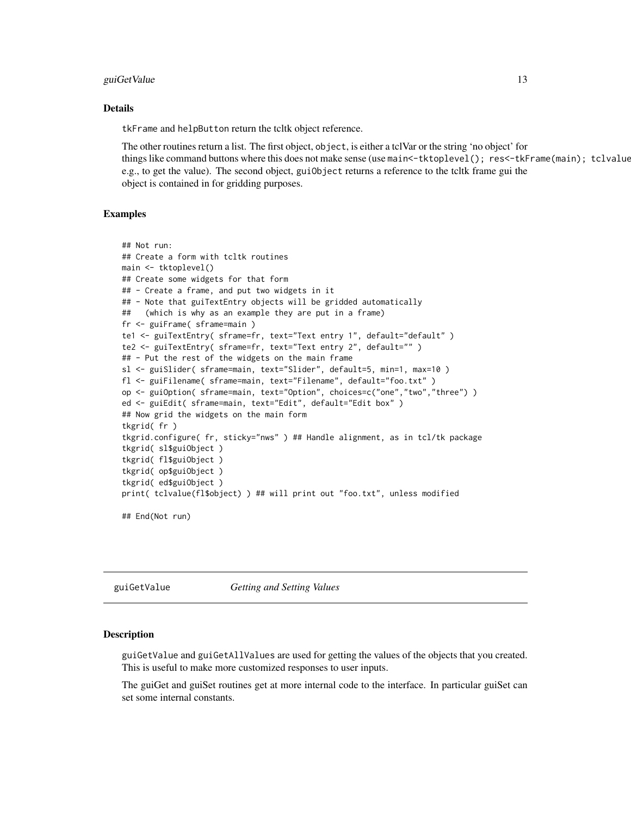#### <span id="page-12-0"></span>guiGetValue 13

#### Details

tkFrame and helpButton return the tcltk object reference.

The other routines return a list. The first object, object, is either a tclVar or the string 'no object' for things like command buttons where this does not make sense (use main<-tktoplevel(); res<-tkFrame(main); tclvalue e.g., to get the value). The second object, guiObject returns a reference to the tcltk frame gui the object is contained in for gridding purposes.

#### Examples

```
## Not run:
## Create a form with tcltk routines
main <- tktoplevel()
## Create some widgets for that form
## - Create a frame, and put two widgets in it
## - Note that guiTextEntry objects will be gridded automatically
## (which is why as an example they are put in a frame)
fr <- guiFrame( sframe=main )
te1 <- guiTextEntry( sframe=fr, text="Text entry 1", default="default" )
te2 <- guiTextEntry( sframe=fr, text="Text entry 2", default="" )
## - Put the rest of the widgets on the main frame
sl <- guiSlider( sframe=main, text="Slider", default=5, min=1, max=10 )
fl <- guiFilename( sframe=main, text="Filename", default="foo.txt" )
op <- guiOption( sframe=main, text="Option", choices=c("one","two","three") )
ed <- guiEdit( sframe=main, text="Edit", default="Edit box" )
## Now grid the widgets on the main form
tkgrid( fr )
tkgrid.configure( fr, sticky="nws" ) ## Handle alignment, as in tcl/tk package
tkgrid( sl$guiObject )
tkgrid( fl$guiObject )
tkgrid( op$guiObject )
tkgrid( ed$guiObject )
print( tclvalue(fl$object) ) ## will print out "foo.txt", unless modified
## End(Not run)
```
guiGetValue *Getting and Setting Values*

#### Description

guiGetValue and guiGetAllValues are used for getting the values of the objects that you created. This is useful to make more customized responses to user inputs.

The guiGet and guiSet routines get at more internal code to the interface. In particular guiSet can set some internal constants.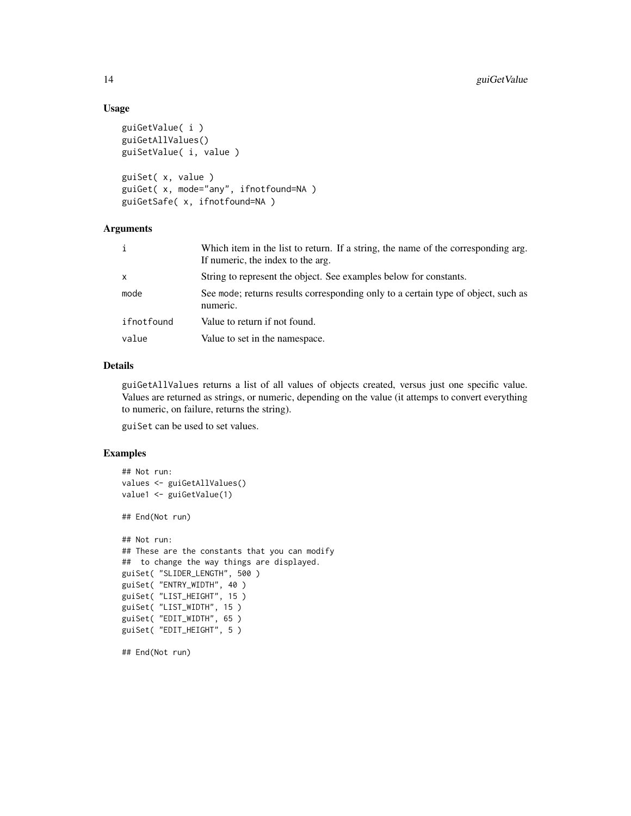#### Usage

```
guiGetValue( i )
guiGetAllValues()
guiSetValue( i, value )
guiSet( x, value )
```

```
guiGet( x, mode="any", ifnotfound=NA )
guiGetSafe( x, ifnotfound=NA )
```
#### Arguments

| i          | Which item in the list to return. If a string, the name of the corresponding arg.<br>If numeric, the index to the arg. |
|------------|------------------------------------------------------------------------------------------------------------------------|
| x          | String to represent the object. See examples below for constants.                                                      |
| mode       | See mode; returns results corresponding only to a certain type of object, such as<br>numeric.                          |
| ifnotfound | Value to return if not found.                                                                                          |
| value      | Value to set in the namespace.                                                                                         |

#### Details

guiGetAllValues returns a list of all values of objects created, versus just one specific value. Values are returned as strings, or numeric, depending on the value (it attemps to convert everything to numeric, on failure, returns the string).

guiSet can be used to set values.

#### Examples

```
## Not run:
values <- guiGetAllValues()
value1 <- guiGetValue(1)
## End(Not run)
## Not run:
## These are the constants that you can modify
## to change the way things are displayed.
guiSet( "SLIDER_LENGTH", 500 )
guiSet( "ENTRY_WIDTH", 40 )
guiSet( "LIST_HEIGHT", 15 )
guiSet( "LIST_WIDTH", 15 )
guiSet( "EDIT_WIDTH", 65 )
guiSet( "EDIT_HEIGHT", 5 )
```
## End(Not run)